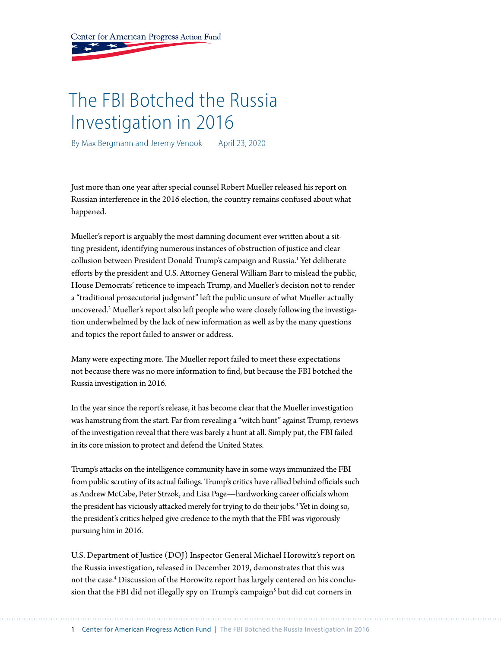Center for American Progress Action Fund

# The FBI Botched the Russia Investigation in 2016

By Max Bergmann and Jeremy Venook April 23, 2020

Just more than one year after special counsel Robert Mueller released his report on Russian interference in the 2016 election, the country remains confused about what happened.

Mueller's report is arguably the most damning document ever written about a sitting president, identifying numerous instances of obstruction of justice and clear collusion between President Donald Trump's campaign and Russia.<sup>1</sup> Yet deliberate efforts by the president and U.S. Attorney General William Barr to mislead the public, House Democrats' reticence to impeach Trump, and Mueller's decision not to render a "traditional prosecutorial judgment" left the public unsure of what Mueller actually uncovered.2 Mueller's report also left people who were closely following the investigation underwhelmed by the lack of new information as well as by the many questions and topics the report failed to answer or address.

Many were expecting more. The Mueller report failed to meet these expectations not because there was no more information to find, but because the FBI botched the Russia investigation in 2016.

In the year since the report's release, it has become clear that the Mueller investigation was hamstrung from the start. Far from revealing a "witch hunt" against Trump, reviews of the investigation reveal that there was barely a hunt at all. Simply put, the FBI failed in its core mission to protect and defend the United States.

Trump's attacks on the intelligence community have in some ways immunized the FBI from public scrutiny of its actual failings. Trump's critics have rallied behind officials such as Andrew McCabe, Peter Strzok, and Lisa Page—hardworking career officials whom the president has viciously attacked merely for trying to do their jobs.<sup>3</sup> Yet in doing so, the president's critics helped give credence to the myth that the FBI was vigorously pursuing him in 2016.

U.S. Department of Justice (DOJ) Inspector General Michael Horowitz's report on the Russia investigation, released in December 2019, demonstrates that this was not the case.<sup>4</sup> Discussion of the Horowitz report has largely centered on his conclusion that the FBI did not illegally spy on Trump's campaign<sup>s</sup> but did cut corners in

1 Center for American Progress Action Fund | The FBI Botched the Russia Investigation in 2016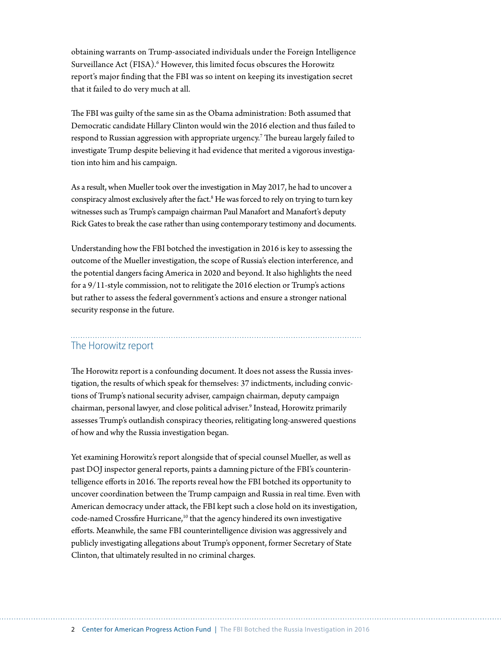obtaining warrants on Trump-associated individuals under the Foreign Intelligence Surveillance Act (FISA).<sup>6</sup> However, this limited focus obscures the Horowitz report's major finding that the FBI was so intent on keeping its investigation secret that it failed to do very much at all.

The FBI was guilty of the same sin as the Obama administration: Both assumed that Democratic candidate Hillary Clinton would win the 2016 election and thus failed to respond to Russian aggression with appropriate urgency.7 The bureau largely failed to investigate Trump despite believing it had evidence that merited a vigorous investigation into him and his campaign.

As a result, when Mueller took over the investigation in May 2017, he had to uncover a conspiracy almost exclusively after the fact.<sup>8</sup> He was forced to rely on trying to turn key witnesses such as Trump's campaign chairman Paul Manafort and Manafort's deputy Rick Gates to break the case rather than using contemporary testimony and documents.

Understanding how the FBI botched the investigation in 2016 is key to assessing the outcome of the Mueller investigation, the scope of Russia's election interference, and the potential dangers facing America in 2020 and beyond. It also highlights the need for a 9/11-style commission, not to relitigate the 2016 election or Trump's actions but rather to assess the federal government's actions and ensure a stronger national security response in the future.

# The Horowitz report

The Horowitz report is a confounding document. It does not assess the Russia investigation, the results of which speak for themselves: 37 indictments, including convictions of Trump's national security adviser, campaign chairman, deputy campaign chairman, personal lawyer, and close political adviser.<sup>9</sup> Instead, Horowitz primarily assesses Trump's outlandish conspiracy theories, relitigating long-answered questions of how and why the Russia investigation began.

Yet examining Horowitz's report alongside that of special counsel Mueller, as well as past DOJ inspector general reports, paints a damning picture of the FBI's counterintelligence efforts in 2016. The reports reveal how the FBI botched its opportunity to uncover coordination between the Trump campaign and Russia in real time. Even with American democracy under attack, the FBI kept such a close hold on its investigation, code-named Crossfire Hurricane,<sup>10</sup> that the agency hindered its own investigative efforts. Meanwhile, the same FBI counterintelligence division was aggressively and publicly investigating allegations about Trump's opponent, former Secretary of State Clinton, that ultimately resulted in no criminal charges.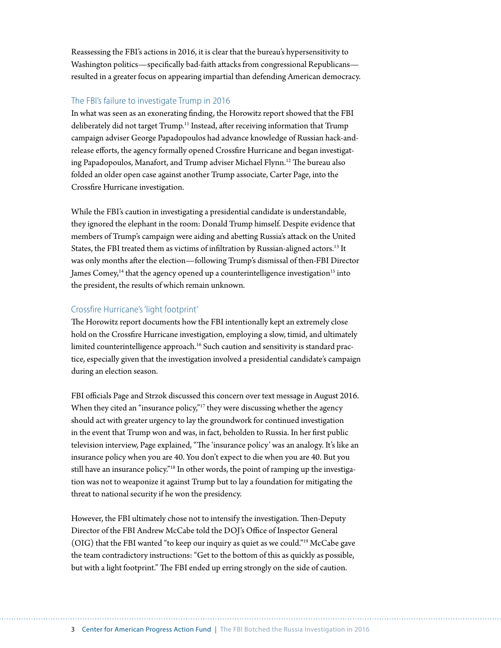Reassessing the FBI's actions in 2016, it is clear that the bureau's hypersensitivity to Washington politics—specifically bad-faith attacks from congressional Republicans resulted in a greater focus on appearing impartial than defending American democracy.

#### The FBI's failure to investigate Trump in 2016

In what was seen as an exonerating finding, the Horowitz report showed that the FBI deliberately did not target Trump.<sup>11</sup> Instead, after receiving information that Trump campaign adviser George Papadopoulos had advance knowledge of Russian hack-andrelease efforts, the agency formally opened Crossfire Hurricane and began investigating Papadopoulos, Manafort, and Trump adviser Michael Flynn.<sup>12</sup> The bureau also folded an older open case against another Trump associate, Carter Page, into the Crossfire Hurricane investigation.

While the FBI's caution in investigating a presidential candidate is understandable, they ignored the elephant in the room: Donald Trump himself. Despite evidence that members of Trump's campaign were aiding and abetting Russia's attack on the United States, the FBI treated them as victims of infiltration by Russian-aligned actors.<sup>13</sup> It was only months after the election—following Trump's dismissal of then-FBI Director James Comey, $<sup>14</sup>$  that the agency opened up a counterintelligence investigation<sup>15</sup> into</sup> the president, the results of which remain unknown.

#### Crossfire Hurricane's 'light footprint'

The Horowitz report documents how the FBI intentionally kept an extremely close hold on the Crossfire Hurricane investigation, employing a slow, timid, and ultimately limited counterintelligence approach.<sup>16</sup> Such caution and sensitivity is standard practice, especially given that the investigation involved a presidential candidate's campaign during an election season.

FBI officials Page and Strzok discussed this concern over text message in August 2016. When they cited an "insurance policy,"<sup>17</sup> they were discussing whether the agency should act with greater urgency to lay the groundwork for continued investigation in the event that Trump won and was, in fact, beholden to Russia. In her first public television interview, Page explained, "The 'insurance policy' was an analogy. It's like an insurance policy when you are 40. You don't expect to die when you are 40. But you still have an insurance policy."18 In other words, the point of ramping up the investigation was not to weaponize it against Trump but to lay a foundation for mitigating the threat to national security if he won the presidency.

However, the FBI ultimately chose not to intensify the investigation. Then-Deputy Director of the FBI Andrew McCabe told the DOJ's Office of Inspector General (OIG) that the FBI wanted "to keep our inquiry as quiet as we could."19 McCabe gave the team contradictory instructions: "Get to the bottom of this as quickly as possible, but with a light footprint." The FBI ended up erring strongly on the side of caution.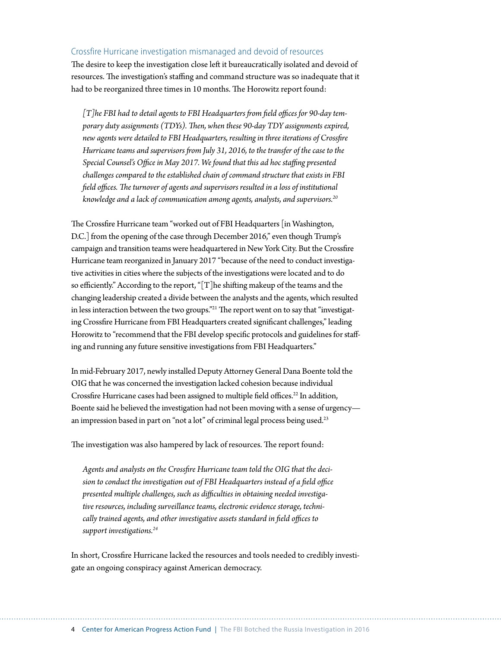#### Crossfire Hurricane investigation mismanaged and devoid of resources

The desire to keep the investigation close left it bureaucratically isolated and devoid of resources. The investigation's staffing and command structure was so inadequate that it had to be reorganized three times in 10 months. The Horowitz report found:

*[T]he FBI had to detail agents to FBI Headquarters from field offices for 90-day temporary duty assignments (TDYs). Then, when these 90-day TDY assignments expired, new agents were detailed to FBI Headquarters, resulting in three iterations of Crossfire Hurricane teams and supervisors from July 31, 2016, to the transfer of the case to the Special Counsel's Office in May 2017. We found that this ad hoc staffing presented challenges compared to the established chain of command structure that exists in FBI field offices. The turnover of agents and supervisors resulted in a loss of institutional knowledge and a lack of communication among agents, analysts, and supervisors.20*

The Crossfire Hurricane team "worked out of FBI Headquarters [in Washington, D.C.] from the opening of the case through December 2016," even though Trump's campaign and transition teams were headquartered in New York City. But the Crossfire Hurricane team reorganized in January 2017 "because of the need to conduct investigative activities in cities where the subjects of the investigations were located and to do so efficiently." According to the report, "[T]he shifting makeup of the teams and the changing leadership created a divide between the analysts and the agents, which resulted in less interaction between the two groups."21 The report went on to say that "investigating Crossfire Hurricane from FBI Headquarters created significant challenges," leading Horowitz to "recommend that the FBI develop specific protocols and guidelines for staffing and running any future sensitive investigations from FBI Headquarters."

In mid-February 2017, newly installed Deputy Attorney General Dana Boente told the OIG that he was concerned the investigation lacked cohesion because individual Crossfire Hurricane cases had been assigned to multiple field offices.<sup>22</sup> In addition, Boente said he believed the investigation had not been moving with a sense of urgency an impression based in part on "not a lot" of criminal legal process being used.<sup>23</sup>

The investigation was also hampered by lack of resources. The report found:

*Agents and analysts on the Crossfire Hurricane team told the OIG that the decision to conduct the investigation out of FBI Headquarters instead of a field office presented multiple challenges, such as difficulties in obtaining needed investigative resources, including surveillance teams, electronic evidence storage, technically trained agents, and other investigative assets standard in field offices to support investigations.24*

In short, Crossfire Hurricane lacked the resources and tools needed to credibly investigate an ongoing conspiracy against American democracy.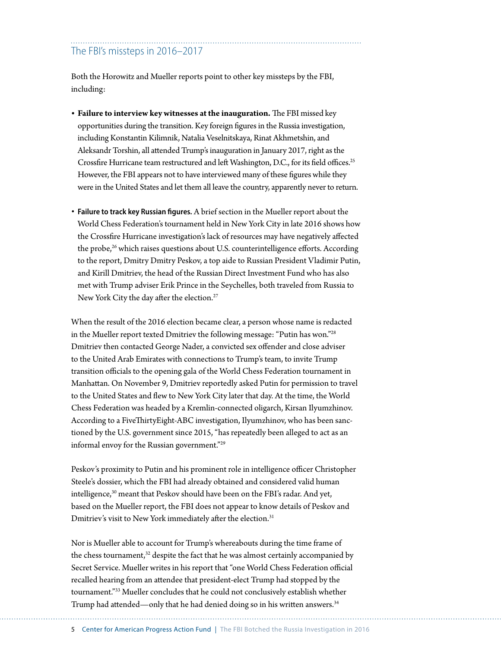# The FBI's missteps in 2016–2017

Both the Horowitz and Mueller reports point to other key missteps by the FBI, including:

- **• Failure to interview key witnesses at the inauguration.** The FBI missed key opportunities during the transition. Key foreign figures in the Russia investigation, including Konstantin Kilimnik, Natalia Veselnitskaya, Rinat Akhmetshin, and Aleksandr Torshin, all attended Trump's inauguration in January 2017, right as the Crossfire Hurricane team restructured and left Washington, D.C., for its field offices.<sup>25</sup> However, the FBI appears not to have interviewed many of these figures while they were in the United States and let them all leave the country, apparently never to return.
- **Failure to track key Russian figures.** A brief section in the Mueller report about the World Chess Federation's tournament held in New York City in late 2016 shows how the Crossfire Hurricane investigation's lack of resources may have negatively affected the probe,<sup>26</sup> which raises questions about U.S. counterintelligence efforts. According to the report, Dmitry Dmitry Peskov, a top aide to Russian President Vladimir Putin, and Kirill Dmitriev, the head of the Russian Direct Investment Fund who has also met with Trump adviser Erik Prince in the Seychelles, both traveled from Russia to New York City the day after the election.<sup>27</sup>

When the result of the 2016 election became clear, a person whose name is redacted in the Mueller report texted Dmitriev the following message: "Putin has won."28 Dmitriev then contacted George Nader, a convicted sex offender and close adviser to the United Arab Emirates with connections to Trump's team, to invite Trump transition officials to the opening gala of the World Chess Federation tournament in Manhattan. On November 9, Dmitriev reportedly asked Putin for permission to travel to the United States and flew to New York City later that day. At the time, the World Chess Federation was headed by a Kremlin-connected oligarch, Kirsan Ilyumzhinov. According to a FiveThirtyEight-ABC investigation, Ilyumzhinov, who has been sanctioned by the U.S. government since 2015, "has repeatedly been alleged to act as an informal envoy for the Russian government."29

Peskov's proximity to Putin and his prominent role in intelligence officer Christopher Steele's dossier, which the FBI had already obtained and considered valid human intelligence,<sup>30</sup> meant that Peskov should have been on the FBI's radar. And yet, based on the Mueller report, the FBI does not appear to know details of Peskov and Dmitriev's visit to New York immediately after the election.<sup>31</sup>

Nor is Mueller able to account for Trump's whereabouts during the time frame of the chess tournament, 32 despite the fact that he was almost certainly accompanied by Secret Service. Mueller writes in his report that "one World Chess Federation official recalled hearing from an attendee that president-elect Trump had stopped by the tournament."33 Mueller concludes that he could not conclusively establish whether Trump had attended—only that he had denied doing so in his written answers.<sup>34</sup>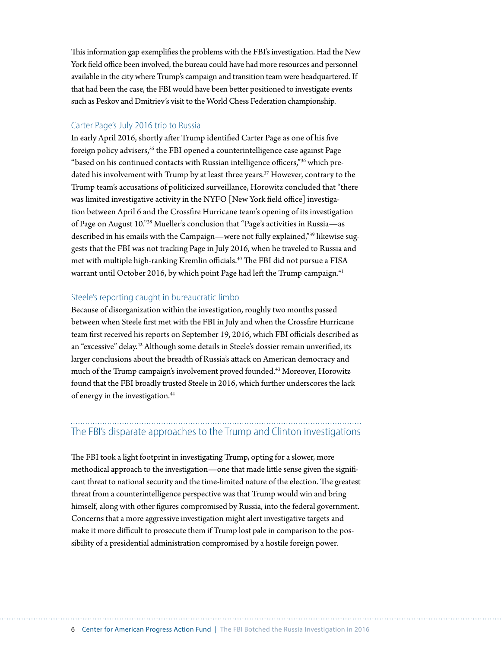This information gap exemplifies the problems with the FBI's investigation. Had the New York field office been involved, the bureau could have had more resources and personnel available in the city where Trump's campaign and transition team were headquartered. If that had been the case, the FBI would have been better positioned to investigate events such as Peskov and Dmitriev's visit to the World Chess Federation championship.

#### Carter Page's July 2016 trip to Russia

In early April 2016, shortly after Trump identified Carter Page as one of his five foreign policy advisers,<sup>35</sup> the FBI opened a counterintelligence case against Page "based on his continued contacts with Russian intelligence officers,"36 which predated his involvement with Trump by at least three years.<sup>37</sup> However, contrary to the Trump team's accusations of politicized surveillance, Horowitz concluded that "there was limited investigative activity in the NYFO [New York field office] investigation between April 6 and the Crossfire Hurricane team's opening of its investigation of Page on August 10."38 Mueller's conclusion that "Page's activities in Russia—as described in his emails with the Campaign—were not fully explained,"39 likewise suggests that the FBI was not tracking Page in July 2016, when he traveled to Russia and met with multiple high-ranking Kremlin officials.<sup>40</sup> The FBI did not pursue a FISA warrant until October 2016, by which point Page had left the Trump campaign.<sup>41</sup>

#### Steele's reporting caught in bureaucratic limbo

Because of disorganization within the investigation, roughly two months passed between when Steele first met with the FBI in July and when the Crossfire Hurricane team first received his reports on September 19, 2016, which FBI officials described as an "excessive" delay.<sup>42</sup> Although some details in Steele's dossier remain unverified, its larger conclusions about the breadth of Russia's attack on American democracy and much of the Trump campaign's involvement proved founded.43 Moreover, Horowitz found that the FBI broadly trusted Steele in 2016, which further underscores the lack of energy in the investigation.44

# The FBI's disparate approaches to the Trump and Clinton investigations

The FBI took a light footprint in investigating Trump, opting for a slower, more methodical approach to the investigation—one that made little sense given the significant threat to national security and the time-limited nature of the election. The greatest threat from a counterintelligence perspective was that Trump would win and bring himself, along with other figures compromised by Russia, into the federal government. Concerns that a more aggressive investigation might alert investigative targets and make it more difficult to prosecute them if Trump lost pale in comparison to the possibility of a presidential administration compromised by a hostile foreign power.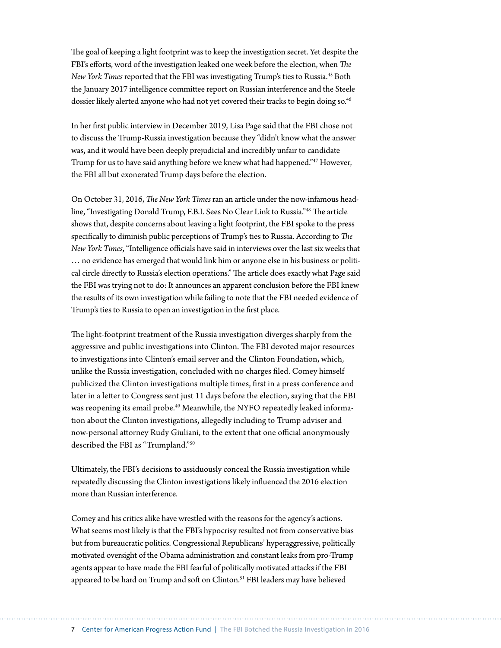The goal of keeping a light footprint was to keep the investigation secret. Yet despite the FBI's efforts, word of the investigation leaked one week before the election, when *The New York Times* reported that the FBI was investigating Trump's ties to Russia.45 Both the January 2017 intelligence committee report on Russian interference and the Steele dossier likely alerted anyone who had not yet covered their tracks to begin doing so.<sup>46</sup>

In her first public interview in December 2019, Lisa Page said that the FBI chose not to discuss the Trump-Russia investigation because they "didn't know what the answer was, and it would have been deeply prejudicial and incredibly unfair to candidate Trump for us to have said anything before we knew what had happened."47 However, the FBI all but exonerated Trump days before the election.

On October 31, 2016, *The New York Times* ran an article under the now-infamous headline, "Investigating Donald Trump, F.B.I. Sees No Clear Link to Russia."48 The article shows that, despite concerns about leaving a light footprint, the FBI spoke to the press specifically to diminish public perceptions of Trump's ties to Russia. According to *The New York Times*, "Intelligence officials have said in interviews over the last six weeks that … no evidence has emerged that would link him or anyone else in his business or political circle directly to Russia's election operations." The article does exactly what Page said the FBI was trying not to do: It announces an apparent conclusion before the FBI knew the results of its own investigation while failing to note that the FBI needed evidence of Trump's ties to Russia to open an investigation in the first place.

The light-footprint treatment of the Russia investigation diverges sharply from the aggressive and public investigations into Clinton. The FBI devoted major resources to investigations into Clinton's email server and the Clinton Foundation, which, unlike the Russia investigation, concluded with no charges filed. Comey himself publicized the Clinton investigations multiple times, first in a press conference and later in a letter to Congress sent just 11 days before the election, saying that the FBI was reopening its email probe.<sup>49</sup> Meanwhile, the NYFO repeatedly leaked information about the Clinton investigations, allegedly including to Trump adviser and now-personal attorney Rudy Giuliani, to the extent that one official anonymously described the FBI as "Trumpland."50

Ultimately, the FBI's decisions to assiduously conceal the Russia investigation while repeatedly discussing the Clinton investigations likely influenced the 2016 election more than Russian interference.

Comey and his critics alike have wrestled with the reasons for the agency's actions. What seems most likely is that the FBI's hypocrisy resulted not from conservative bias but from bureaucratic politics. Congressional Republicans' hyperaggressive, politically motivated oversight of the Obama administration and constant leaks from pro-Trump agents appear to have made the FBI fearful of politically motivated attacks if the FBI appeared to be hard on Trump and soft on Clinton.<sup>51</sup> FBI leaders may have believed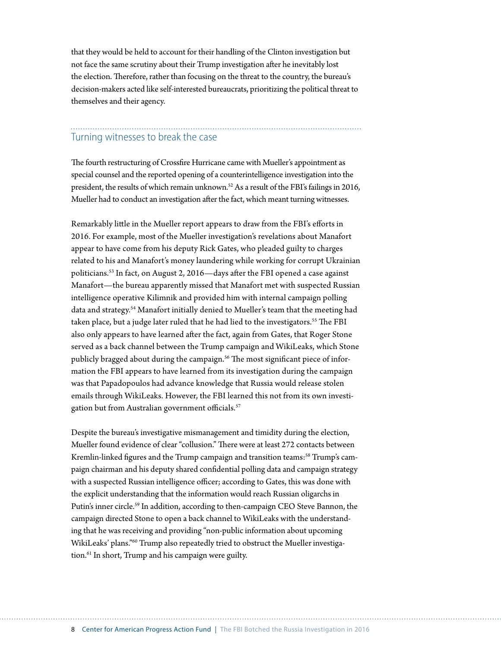that they would be held to account for their handling of the Clinton investigation but not face the same scrutiny about their Trump investigation after he inevitably lost the election. Therefore, rather than focusing on the threat to the country, the bureau's decision-makers acted like self-interested bureaucrats, prioritizing the political threat to themselves and their agency.

# Turning witnesses to break the case

The fourth restructuring of Crossfire Hurricane came with Mueller's appointment as special counsel and the reported opening of a counterintelligence investigation into the president, the results of which remain unknown.<sup>52</sup> As a result of the FBI's failings in 2016, Mueller had to conduct an investigation after the fact, which meant turning witnesses.

Remarkably little in the Mueller report appears to draw from the FBI's efforts in 2016. For example, most of the Mueller investigation's revelations about Manafort appear to have come from his deputy Rick Gates, who pleaded guilty to charges related to his and Manafort's money laundering while working for corrupt Ukrainian politicians.53 In fact, on August 2, 2016—days after the FBI opened a case against Manafort—the bureau apparently missed that Manafort met with suspected Russian intelligence operative Kilimnik and provided him with internal campaign polling data and strategy.<sup>54</sup> Manafort initially denied to Mueller's team that the meeting had taken place, but a judge later ruled that he had lied to the investigators.<sup>55</sup> The FBI also only appears to have learned after the fact, again from Gates, that Roger Stone served as a back channel between the Trump campaign and WikiLeaks, which Stone publicly bragged about during the campaign.<sup>56</sup> The most significant piece of information the FBI appears to have learned from its investigation during the campaign was that Papadopoulos had advance knowledge that Russia would release stolen emails through WikiLeaks. However, the FBI learned this not from its own investigation but from Australian government officials.<sup>57</sup>

Despite the bureau's investigative mismanagement and timidity during the election, Mueller found evidence of clear "collusion." There were at least 272 contacts between Kremlin-linked figures and the Trump campaign and transition teams:<sup>58</sup> Trump's campaign chairman and his deputy shared confidential polling data and campaign strategy with a suspected Russian intelligence officer; according to Gates, this was done with the explicit understanding that the information would reach Russian oligarchs in Putin's inner circle.<sup>59</sup> In addition, according to then-campaign CEO Steve Bannon, the campaign directed Stone to open a back channel to WikiLeaks with the understanding that he was receiving and providing "non-public information about upcoming WikiLeaks' plans."60 Trump also repeatedly tried to obstruct the Mueller investigation.61 In short, Trump and his campaign were guilty.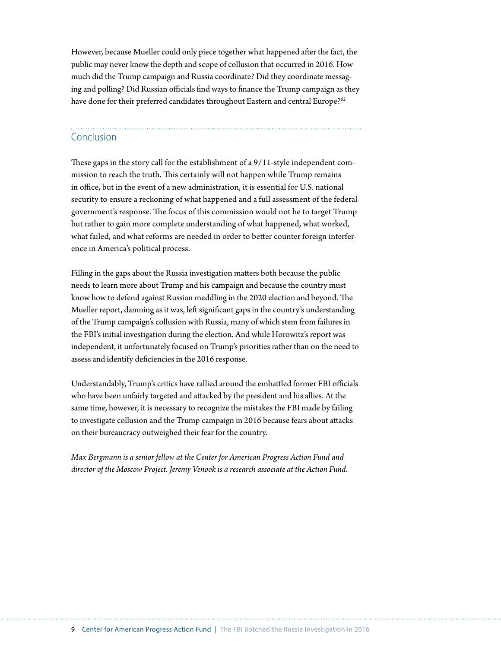However, because Mueller could only piece together what happened after the fact, the public may never know the depth and scope of collusion that occurred in 2016. How much did the Trump campaign and Russia coordinate? Did they coordinate messaging and polling? Did Russian officials find ways to finance the Trump campaign as they have done for their preferred candidates throughout Eastern and central Europe?<sup>62</sup>

### Conclusion

These gaps in the story call for the establishment of a 9/11-style independent commission to reach the truth. This certainly will not happen while Trump remains in office, but in the event of a new administration, it is essential for U.S. national security to ensure a reckoning of what happened and a full assessment of the federal government's response. The focus of this commission would not be to target Trump but rather to gain more complete understanding of what happened, what worked, what failed, and what reforms are needed in order to better counter foreign interference in America's political process.

Filling in the gaps about the Russia investigation matters both because the public needs to learn more about Trump and his campaign and because the country must know how to defend against Russian meddling in the 2020 election and beyond. The Mueller report, damning as it was, left significant gaps in the country's understanding of the Trump campaign's collusion with Russia, many of which stem from failures in the FBI's initial investigation during the election. And while Horowitz's report was independent, it unfortunately focused on Trump's priorities rather than on the need to assess and identify deficiencies in the 2016 response.

Understandably, Trump's critics have rallied around the embattled former FBI officials who have been unfairly targeted and attacked by the president and his allies. At the same time, however, it is necessary to recognize the mistakes the FBI made by failing to investigate collusion and the Trump campaign in 2016 because fears about attacks on their bureaucracy outweighed their fear for the country.

*Max Bergmann is a senior fellow at the Center for American Progress Action Fund and director of the Moscow Project. Jeremy Venook is a research associate at the Action Fund.*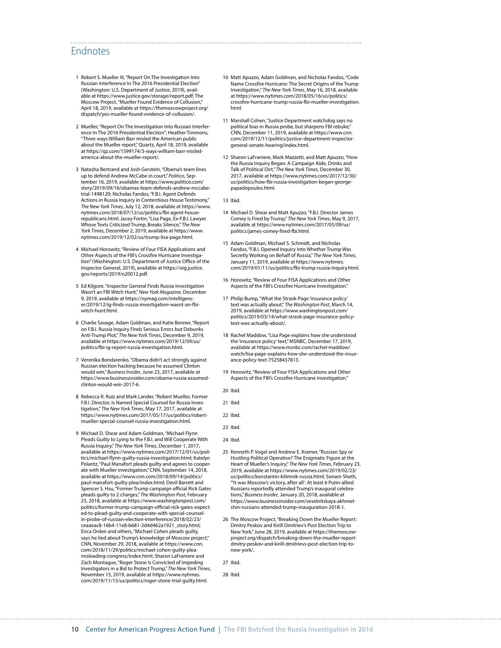## Endnotes

- 1 Robert S. Mueller III, "Report On The Investigation Into Russian Interference In The 2016 Presidential Election" (Washington: U.S. Department of Justice, 2019), available at [https://www.justice.gov/storage/report.pdf;](https://www.justice.gov/storage/report.pdf) The Moscow Project, "Mueller Found Evidence of Collusion," April 18, 2019, available at [https://themoscowproject.org/](https://themoscowproject.org/dispatch/yes-mueller-found-evidence-of-collusion/) [dispatch/yes-mueller-found-evidence-of-collusion/](https://themoscowproject.org/dispatch/yes-mueller-found-evidence-of-collusion/).
- 2 Mueller, "Report On The Investigation Into Russian Interference In The 2016 Presidential Election"; Heather Timmons, "Three ways William Barr misled the American public about the Mueller report," Quartz, April 18, 2019, available at [https://qz.com/1599174/3-ways-william-barr-misled](https://qz.com/1599174/3-ways-william-barr-misled-america-about-the-mueller-report/)[america-about-the-mueller-report/.](https://qz.com/1599174/3-ways-william-barr-misled-america-about-the-mueller-report/)
- 3 Natasha Bertrand and Josh Gerstein, "Obama's team lines up to defend Andrew McCabe in court," *Politico*, September 16, 2019, available at [https://www.politico.com/](https://www.politico.com/story/2019/09/16/obamas-team-defends-andrew-mccabe-trial-1498129) [story/2019/09/16/obamas-team-defends-andrew-mccabe](https://www.politico.com/story/2019/09/16/obamas-team-defends-andrew-mccabe-trial-1498129)[trial-1498129;](https://www.politico.com/story/2019/09/16/obamas-team-defends-andrew-mccabe-trial-1498129) Nicholas Fandos, "F.B.I. Agent Defends Actions in Russia Inquiry in Contentious House Testimony," *The New York Times*, July 12, 2018, available at [https://www.](https://www.nytimes.com/2018/07/12/us/politics/fbi-agent-house-republicans.html) [nytimes.com/2018/07/12/us/politics/fbi-agent-house](https://www.nytimes.com/2018/07/12/us/politics/fbi-agent-house-republicans.html)[republicans.html;](https://www.nytimes.com/2018/07/12/us/politics/fbi-agent-house-republicans.html) Jacey Fortin, "Lisa Page, Ex-F.B.I. Lawyer Whose Texts Criticized Trump, Breaks Silence," *The New York Times*, December 2, 2019, available at [https://www.](https://www.nytimes.com/2019/12/02/us/trump-lisa-page.html) [nytimes.com/2019/12/02/us/trump-lisa-page.html](https://www.nytimes.com/2019/12/02/us/trump-lisa-page.html).
- 4 Michael Horowitz, "Review of Four FISA Applications and Other Aspects of the FBI's Crossfire Hurricane Investigation" (Washington: U.S. Department of Justice Office of the Inspector General, 2019), available at [https://oig.justice.](https://oig.justice.gov/reports/2019/o20012.pdf) [gov/reports/2019/o20012.pdf.](https://oig.justice.gov/reports/2019/o20012.pdf)
- 5 Ed Kilgore, "Inspector General Finds Russia Investigation Wasn't an FBI Witch Hunt," *New York Magazine*, December 9, 2019, available at [https://nymag.com/intelligenc](https://nymag.com/intelligencer/2019/12/ig-finds-russia-investigation-wasnt-an-fbi-witch-hunt.html)[er/2019/12/ig-finds-russia-investigation-wasnt-an-fbi](https://nymag.com/intelligencer/2019/12/ig-finds-russia-investigation-wasnt-an-fbi-witch-hunt.html)[witch-hunt.html.](https://nymag.com/intelligencer/2019/12/ig-finds-russia-investigation-wasnt-an-fbi-witch-hunt.html)
- 6 Charlie Savage, Adam Goldman, and Katie Benner, "Report on F.B.I. Russia Inquiry Finds Serious Errors but Debunks Anti-Trump Plot," *The New York Times*, December 9, 2019, available at [https://www.nytimes.com/2019/12/09/us/](https://www.nytimes.com/2019/12/09/us/politics/fbi-ig-report-russia-investigation.html) [politics/fbi-ig-report-russia-investigation.html.](https://www.nytimes.com/2019/12/09/us/politics/fbi-ig-report-russia-investigation.html)
- 7 Veronika Bondarenko, "Obama didn't act strongly against Russian election hacking because he assumed Clinton would win," *Business Insider*, June 23, 2017, available at [https://www.businessinsider.com/obama-russia-assumed](https://www.businessinsider.com/obama-russia-assumed-clinton-would-win-2017-6)[clinton-would-win-2017-6](https://www.businessinsider.com/obama-russia-assumed-clinton-would-win-2017-6).
- 8 Rebecca R. Ruiz and Mark Lander, "Robert Mueller, Former F.B.I. Director, Is Named Special Counsel for Russia Investigation," *The New York Times*, May 17, 2017, available at [https://www.nytimes.com/2017/05/17/us/politics/robert](https://www.nytimes.com/2017/05/17/us/politics/robert-mueller-special-counsel-russia-investigation.html)[mueller-special-counsel-russia-investigation.html](https://www.nytimes.com/2017/05/17/us/politics/robert-mueller-special-counsel-russia-investigation.html).
- 9 Michael D. Shear and Adam Goldman, "Michael Flynn Pleads Guilty to Lying to the F.B.I. and Will Cooperate With Russia Inquiry," *The New York Times*, December 1, 2017, available at [https://www.nytimes.com/2017/12/01/us/poli](https://www.nytimes.com/2017/12/01/us/politics/michael-flynn-guilty-russia-investigation.html)[tics/michael-flynn-guilty-russia-investigation.html;](https://www.nytimes.com/2017/12/01/us/politics/michael-flynn-guilty-russia-investigation.html) Katelyn Polantz, "Paul Manafort pleads guilty and agrees to cooper ate with Mueller investigation," CNN, September 14, 2018, available at [https://www.cnn.com/2018/09/14/politics/](https://www.cnn.com/2018/09/14/politics/paul-manafort-guilty-plea/index.html) [paul-manafort-guilty-plea/index.html;](https://www.cnn.com/2018/09/14/politics/paul-manafort-guilty-plea/index.html) Devil Barrett and Spencer S. Hsu, "Former Trump campaign official Rick Gates pleads guilty to 2 charges," *The Washington Post*, February 23, 2018, available at [https://www.washingtonpost.com/](https://www.washingtonpost.com/politics/former-trump-campaign-official-rick-gates-expected-to-plead-guilty-and-cooperate-with-special-counsel-in-probe-of-russian-election-interference/2018/02/23/ceaaeac8-16b4-11e8-b681-2d4d462a1921_story.html) [politics/former-trump-campaign-official-rick-gates-expect](https://www.washingtonpost.com/politics/former-trump-campaign-official-rick-gates-expected-to-plead-guilty-and-cooperate-with-special-counsel-in-probe-of-russian-election-interference/2018/02/23/ceaaeac8-16b4-11e8-b681-2d4d462a1921_story.html)[ed-to-plead-guilty-and-cooperate-with-special-counsel](https://www.washingtonpost.com/politics/former-trump-campaign-official-rick-gates-expected-to-plead-guilty-and-cooperate-with-special-counsel-in-probe-of-russian-election-interference/2018/02/23/ceaaeac8-16b4-11e8-b681-2d4d462a1921_story.html)[in-probe-of-russian-election-interference/2018/02/23/](https://www.washingtonpost.com/politics/former-trump-campaign-official-rick-gates-expected-to-plead-guilty-and-cooperate-with-special-counsel-in-probe-of-russian-election-interference/2018/02/23/ceaaeac8-16b4-11e8-b681-2d4d462a1921_story.html) [ceaaeac8-16b4-11e8-b681-2d4d462a1921\\_story.html;](https://www.washingtonpost.com/politics/former-trump-campaign-official-rick-gates-expected-to-plead-guilty-and-cooperate-with-special-counsel-in-probe-of-russian-election-interference/2018/02/23/ceaaeac8-16b4-11e8-b681-2d4d462a1921_story.html) Erica Orden and others, "Michael Cohen pleads guilty, says he lied about Trump's knowledge of Moscow project," CNN, November 29, 2018, available at [https://www.cnn.](https://www.cnn.com/2018/11/29/politics/michael-cohen-guilty-plea-misleading-congress/index.html) [com/2018/11/29/politics/michael-cohen-guilty-plea](https://www.cnn.com/2018/11/29/politics/michael-cohen-guilty-plea-misleading-congress/index.html)[misleading-congress/index.html](https://www.cnn.com/2018/11/29/politics/michael-cohen-guilty-plea-misleading-congress/index.html); Sharon LaFraniere and Zach Montague, "Roger Stone Is Convicted of Impeding Investigators in a Bid to Protect Trump," *The New York Times*, November 15, 2019, available at [https://www.nytimes.](https://www.nytimes.com/2019/11/15/us/politics/roger-stone-trial-guilty.html) [com/2019/11/15/us/politics/roger-stone-trial-guilty.html](https://www.nytimes.com/2019/11/15/us/politics/roger-stone-trial-guilty.html).
- 10 Matt Apuzzo, Adam Goldman, and Nicholas Fandos, "Code Name Crossfire Hurricane: The Secret Origins of the Trump Investigation," *The New York Times*, May 16, 2018, available at [https://www.nytimes.com/2018/05/16/us/politics/](https://www.nytimes.com/2018/05/16/us/politics/crossfire-hurricane-trump-russia-fbi-mueller-investigation.html) [crossfire-hurricane-trump-russia-fbi-mueller-investigation.](https://www.nytimes.com/2018/05/16/us/politics/crossfire-hurricane-trump-russia-fbi-mueller-investigation.html) [html.](https://www.nytimes.com/2018/05/16/us/politics/crossfire-hurricane-trump-russia-fbi-mueller-investigation.html)
- 11 Marshall Cohen, "Justice Department watchdog says no political bias in Russia probe, but sharpens FBI rebuke,"<br>CNN, December 11, 2019, available at [https://www.cnn.](https://www.cnn.com/2019/12/11/politics/justice-department-inspector-general-senate-hearing/index.html) [com/2019/12/11/politics/justice-department-inspector](https://www.cnn.com/2019/12/11/politics/justice-department-inspector-general-senate-hearing/index.html)[general-senate-hearing/index.html.](https://www.cnn.com/2019/12/11/politics/justice-department-inspector-general-senate-hearing/index.html)
- 12 Sharon LaFraniere, Mark Mazzetti, and Matt Apuzzo, "How the Russia Inquiry Began: A Campaign Aide, Drinks and Talk of Political Dirt," *The New York Times*, December 30, 2017, available at [https://www.nytimes.com/2017/12/30/](https://www.nytimes.com/2017/12/30/us/politics/how-fbi-russia-investigation-began-george-papadopoulos.html) [us/politics/how-fbi-russia-investigation-began-george](https://www.nytimes.com/2017/12/30/us/politics/how-fbi-russia-investigation-began-george-papadopoulos.html)[papadopoulos.html](https://www.nytimes.com/2017/12/30/us/politics/how-fbi-russia-investigation-began-george-papadopoulos.html).
- 13 Ibid.

- 14 Michael D. Shear and Matt Apuzzo, "F.B.I. Director James Comey Is Fired by Trump," *The New York Times*, May 9, 2017, available at [https://www.nytimes.com/2017/05/09/us/](https://www.nytimes.com/2017/05/09/us/politics/james-comey-fired-fbi.html) [politics/james-comey-fired-fbi.html](https://www.nytimes.com/2017/05/09/us/politics/james-comey-fired-fbi.html).
- 15 Adam Goldman, Michael S. Schmidt, and Nicholas Fandos, "F.B.I. Opened Inquiry Into Whether Trump Was Secretly Working on Behalf of Russia," *The New York Times*, January 11, 2019, available at [https://www.nytimes.](https://www.nytimes.com/2019/01/11/us/politics/fbi-trump-russia-inquiry.html) [com/2019/01/11/us/politics/fbi-trump-russia-inquiry.html](https://www.nytimes.com/2019/01/11/us/politics/fbi-trump-russia-inquiry.html).
- 16 Horowitz, "Review of Four FISA Applications and Other Aspects of the FBI's Crossfire Hurricane Investigation."
- 17 Philip Bump, "What the Strzok-Page 'insurance policy' text was actually about," *The Washington Post*, March 14, 2019, available at [https://www.washingtonpost.com/](https://www.washingtonpost.com/politics/2019/03/14/what-strzok-page-insurance-policy-text-was-actually-about/) [politics/2019/03/14/what-strzok-page-insurance-policy](https://www.washingtonpost.com/politics/2019/03/14/what-strzok-page-insurance-policy-text-was-actually-about/)[text-was-actually-about/](https://www.washingtonpost.com/politics/2019/03/14/what-strzok-page-insurance-policy-text-was-actually-about/).
- 18 Rachel Maddow, "Lisa Page explains how she understood the 'insurance policy' text," MSNBC, December 17, 2019, available at [https://www.msnbc.com/rachel-maddow/](https://www.msnbc.com/rachel-maddow/watch/lisa-page-explains-how-she-understood-the-insurance-policy-text-75258437813) [watch/lisa-page-explains-how-she-understood-the-insur](https://www.msnbc.com/rachel-maddow/watch/lisa-page-explains-how-she-understood-the-insurance-policy-text-75258437813)[ance-policy-text-75258437813.](https://www.msnbc.com/rachel-maddow/watch/lisa-page-explains-how-she-understood-the-insurance-policy-text-75258437813)
- 19 Horowitz, "Review of Four FISA Applications and Other Aspects of the FBI's Crossfire Hurricane Investigation."
- 20 Ibid.
- 21 Ibid.
- 22 Ibid.
- 23 Ibid.
- 24 Ibid.
- 25 Kenneth P. Vogel and Andrew E. Kramer, "Russian Spy or Hustling Political Operative? The Enigmatic Figure at the Heart of Mueller's Inquiry," *The New York Times*, February 23, 2019, available at [https://www.nytimes.com/2019/02/23/](https://www.nytimes.com/2019/02/23/us/politics/konstantin-kilimnik-russia.html) [us/politics/konstantin-kilimnik-russia.html;](https://www.nytimes.com/2019/02/23/us/politics/konstantin-kilimnik-russia.html) Sonam Sheth, "'It was Moscow's victory, after all': At least 6 Putin-allied Russians reportedly attended Trump's inaugural celebrations," *Business Insider*, January 20, 2018, available at [https://www.businessinsider.com/veselnitskaya-akhmet](https://www.businessinsider.com/veselnitskaya-akhmetshin-russians-attended-trump-inauguration-2018-1)[shin-russians-attended-trump-inauguration-2018-1.](https://www.businessinsider.com/veselnitskaya-akhmetshin-russians-attended-trump-inauguration-2018-1)
- 26 The Moscow Project, "Breaking Down the Mueller Report: Dmitry Peskov and Kirill Dmitriev's Post Election Trip to New York," June 28, 2019, available at [https://themoscow](https://themoscowproject.org/dispatch/breaking-down-the-mueller-report-dmitry-peskov-and-kirill-dmitrievs-post-election-trip-to-new-york/)[project.org/dispatch/breaking-down-the-mueller-report](https://themoscowproject.org/dispatch/breaking-down-the-mueller-report-dmitry-peskov-and-kirill-dmitrievs-post-election-trip-to-new-york/)[dmitry-peskov-and-kirill-dmitrievs-post-election-trip-to](https://themoscowproject.org/dispatch/breaking-down-the-mueller-report-dmitry-peskov-and-kirill-dmitrievs-post-election-trip-to-new-york/)[new-york/.](https://themoscowproject.org/dispatch/breaking-down-the-mueller-report-dmitry-peskov-and-kirill-dmitrievs-post-election-trip-to-new-york/)

27 Ibid.

28 Ibid.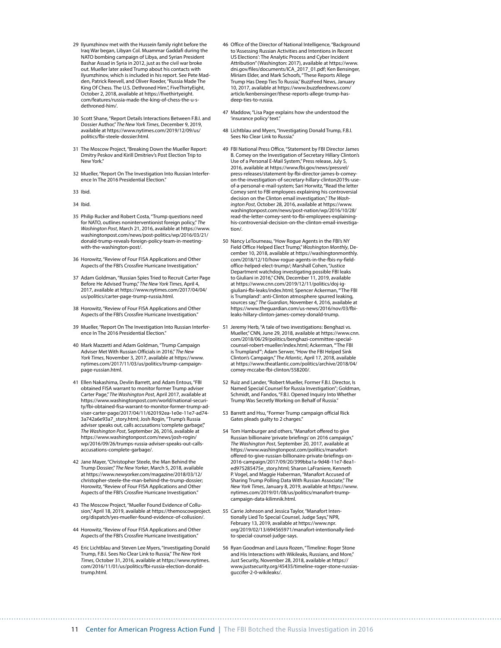- 29 Ilyumzhinov met with the Hussein family right before the Iraq War began, Libyan Col. Muammar Gaddafi during the NATO bombing campaign of Libya, and Syrian President Bashar Assad in Syria in 2012, just as the civil war broke out. Mueller later asked Trump about his contacts with Ilyumzhinov, which is included in his report. See Pete Madden, Patrick Reevell, and Oliver Roeder, "Russia Made The King Of Chess. The U.S. Dethroned Him.", FiveThirtyEight, October 2, 2018, available at [https://fivethirtyeight.](https://fivethirtyeight.com/features/russia-made-the-king-of-chess-the-u-s-dethroned-him/) [com/features/russia-made-the-king-of-chess-the-u-s](https://fivethirtyeight.com/features/russia-made-the-king-of-chess-the-u-s-dethroned-him/)[dethroned-him/.](https://fivethirtyeight.com/features/russia-made-the-king-of-chess-the-u-s-dethroned-him/)
- 30 Scott Shane, "Report Details Interactions Between F.B.I. and Dossier Author," *The New York Times*, December 9, 2019, available at [https://www.nytimes.com/2019/12/09/us/](https://www.nytimes.com/2019/12/09/us/politics/fbi-steele-dossier.html) [politics/fbi-steele-dossier.html](https://www.nytimes.com/2019/12/09/us/politics/fbi-steele-dossier.html).
- 31 The Moscow Project, "Breaking Down the Mueller Report: Dmitry Peskov and Kirill Dmitriev's Post Election Trip to New York."
- 32 Mueller, "Report On The Investigation Into Russian Interference In The 2016 Presidential Election."
- 33 Ibid.
- 34 Ibid.
- 35 Philip Rucker and Robert Costa, "Trump questions need for NATO, outlines noninterventionist foreign policy," *The Washington Post*, March 21, 2016, available at [https://www.](https://www.washingtonpost.com/news/post-politics/wp/2016/03/21/donald-trump-reveals-foreign-policy-team-in-meeting-with-the-washington-post/) [washingtonpost.com/news/post-politics/wp/2016/03/21/](https://www.washingtonpost.com/news/post-politics/wp/2016/03/21/donald-trump-reveals-foreign-policy-team-in-meeting-with-the-washington-post/) [donald-trump-reveals-foreign-policy-team-in-meeting](https://www.washingtonpost.com/news/post-politics/wp/2016/03/21/donald-trump-reveals-foreign-policy-team-in-meeting-with-the-washington-post/)[with-the-washington-post/.](https://www.washingtonpost.com/news/post-politics/wp/2016/03/21/donald-trump-reveals-foreign-policy-team-in-meeting-with-the-washington-post/)
- 36 Horowitz, "Review of Four FISA Applications and Other Aspects of the FBI's Crossfire Hurricane Investigation."
- 37 Adam Goldman, "Russian Spies Tried to Recruit Carter Page Before He Advised Trump," *The New York Times*, April 4, 2017, available at [https://www.nytimes.com/2017/04/04/](https://www.nytimes.com/2017/04/04/us/politics/carter-page-trump-russia.html) [us/politics/carter-page-trump-russia.html](https://www.nytimes.com/2017/04/04/us/politics/carter-page-trump-russia.html).
- 38 Horowitz, "Review of Four FISA Applications and Other Aspects of the FBI's Crossfire Hurricane Investigation."
- 39 Mueller, "Report On The Investigation Into Russian Interference In The 2016 Presidential Election."
- 40 Mark Mazzetti and Adam Goldman, "Trump Campaign Adviser Met With Russian Officials in 2016," *The New York Times*, November 3, 2017, available at [https://www.](https://www.nytimes.com/2017/11/03/us/politics/trump-campaign-page-russian.html) [nytimes.com/2017/11/03/us/politics/trump-campaign](https://www.nytimes.com/2017/11/03/us/politics/trump-campaign-page-russian.html)[page-russian.html.](https://www.nytimes.com/2017/11/03/us/politics/trump-campaign-page-russian.html)
- 41 Ellen Nakashima, Devlin Barrett, and Adam Entous, "FBI obtained FISA warrant to monitor former Trump adviser Carter Page," *The Washington Post*, April 2017, available at [https://www.washingtonpost.com/world/national-securi](https://www.washingtonpost.com/world/national-security/fbi-obtained-fisa-warrant-to-monitor-former-trump-adviser-carter-page/2017/04/11/620192ea-1e0e-11e7-ad74-3a742a6e93a7_story.html)[ty/fbi-obtained-fisa-warrant-to-monitor-former-trump-ad](https://www.washingtonpost.com/world/national-security/fbi-obtained-fisa-warrant-to-monitor-former-trump-adviser-carter-page/2017/04/11/620192ea-1e0e-11e7-ad74-3a742a6e93a7_story.html)[viser-carter-page/2017/04/11/620192ea-1e0e-11e7-ad74-](https://www.washingtonpost.com/world/national-security/fbi-obtained-fisa-warrant-to-monitor-former-trump-adviser-carter-page/2017/04/11/620192ea-1e0e-11e7-ad74-3a742a6e93a7_story.html) [3a742a6e93a7\\_story.html;](https://www.washingtonpost.com/world/national-security/fbi-obtained-fisa-warrant-to-monitor-former-trump-adviser-carter-page/2017/04/11/620192ea-1e0e-11e7-ad74-3a742a6e93a7_story.html) Josh Rogin, "Trump's Russia adviser speaks out, calls accusations 'complete garbage'," *The Washington Post*, September 26, 2016, available at [https://www.washingtonpost.com/news/josh-rogin/](https://www.washingtonpost.com/news/josh-rogin/wp/2016/09/26/trumps-russia-adviser-speaks-out-calls-accusations-complete-garbage/) [wp/2016/09/26/trumps-russia-adviser-speaks-out-calls](https://www.washingtonpost.com/news/josh-rogin/wp/2016/09/26/trumps-russia-adviser-speaks-out-calls-accusations-complete-garbage/)[accusations-complete-garbage/.](https://www.washingtonpost.com/news/josh-rogin/wp/2016/09/26/trumps-russia-adviser-speaks-out-calls-accusations-complete-garbage/)
- 42 Jane Mayer, "Christopher Steele, the Man Behind the Trump Dossier," *The New Yorker*, March 5, 2018, available at [https://www.newyorker.com/magazine/2018/03/12/](https://www.newyorker.com/magazine/2018/03/12/christopher-steele-the-man-behind-the-trump-dossier) [christopher-steele-the-man-behind-the-trump-dossier;](https://www.newyorker.com/magazine/2018/03/12/christopher-steele-the-man-behind-the-trump-dossier) Horowitz, "Review of Four FISA Applications and Other Aspects of the FBI's Crossfire Hurricane Investigation.
- 43 The Moscow Project, "Mueller Found Evidence of Collusion," April 18, 2019, available at [https://themoscowproject.](https://themoscowproject.org/dispatch/yes-mueller-found-evidence-of-collusion/) [org/dispatch/yes-mueller-found-evidence-of-collusion/.](https://themoscowproject.org/dispatch/yes-mueller-found-evidence-of-collusion/)
- 44 Horowitz, "Review of Four FISA Applications and Other Aspects of the FBI's Crossfire Hurricane Investigation."
- 45 Eric Lichtblau and Steven Lee Myers, "Investigating Donald Trump, F.B.I. Sees No Clear Link to Russia," *The New York Times*, October 31, 2016, available at [https://www.nytimes.](https://www.nytimes.com/2016/11/01/us/politics/fbi-russia-election-donald-trump.html) [com/2016/11/01/us/politics/fbi-russia-election-donald](https://www.nytimes.com/2016/11/01/us/politics/fbi-russia-election-donald-trump.html)[trump.html.](https://www.nytimes.com/2016/11/01/us/politics/fbi-russia-election-donald-trump.html)
- 46 Office of the Director of National Intelligence, "Background to 'Assessing Russian Activities and Intentions in Recent US Elections': The Analytic Process and Cyber Incident Attribution" (Washington: 2017), available at [https://www.](https://www.dni.gov/files/documents/ICA_2017_01.pdf) [dni.gov/files/documents/ICA\\_2017\\_01.pdf](https://www.dni.gov/files/documents/ICA_2017_01.pdf); Ken Bensinger, Miriam Elder, and Mark Schoofs, "These Reports Allege Trump Has Deep Ties To Russia," BuzzFeed News, January 10, 2017, available at [https://www.buzzfeednews.com/](https://www.buzzfeednews.com/article/kenbensinger/these-reports-allege-trump-has-deep-ties-to-russia) [article/kenbensinger/these-reports-allege-trump-has](https://www.buzzfeednews.com/article/kenbensinger/these-reports-allege-trump-has-deep-ties-to-russia)[deep-ties-to-russia.](https://www.buzzfeednews.com/article/kenbensinger/these-reports-allege-trump-has-deep-ties-to-russia)
- 47 Maddow, "Lisa Page explains how she understood the 'insurance policy' text."
- 48 Lichtblau and Myers, "Investigating Donald Trump, F.B.I. Sees No Clear Link to Russia."
- 49 FBI National Press Office, "Statement by FBI Director James B. Comey on the Investigation of Secretary Hillary Clinton's Use of a Personal E-Mail System," Press release, July 5, 2016, available at [https://www.fbi.gov/news/pressrel/](https://www.fbi.gov/news/pressrel/press-releases/statement-by-fbi-director-james-b-comey-on-the-investigation-of-secretary-hillary-clinton2019s-use-of-a-personal-e-mail-system) [press-releases/statement-by-fbi-director-james-b-comey](https://www.fbi.gov/news/pressrel/press-releases/statement-by-fbi-director-james-b-comey-on-the-investigation-of-secretary-hillary-clinton2019s-use-of-a-personal-e-mail-system)[on-the-investigation-of-secretary-hillary-clinton2019s-use](https://www.fbi.gov/news/pressrel/press-releases/statement-by-fbi-director-james-b-comey-on-the-investigation-of-secretary-hillary-clinton2019s-use-of-a-personal-e-mail-system)[of-a-personal-e-mail-system](https://www.fbi.gov/news/pressrel/press-releases/statement-by-fbi-director-james-b-comey-on-the-investigation-of-secretary-hillary-clinton2019s-use-of-a-personal-e-mail-system); Sari Horwitz, "Read the letter Comey sent to FBI employees explaining his controversial decision on the Clinton email investigation," *The Washington Post*, October 28, 2016, available at [https://www.](https://www.washingtonpost.com/news/post-nation/wp/2016/10/28/read-the-letter-comey-sent-to-fbi-employees-explaining-his-controversial-decision-on-the-clinton-email-investigation/) [washingtonpost.com/news/post-nation/wp/2016/10/28/](https://www.washingtonpost.com/news/post-nation/wp/2016/10/28/read-the-letter-comey-sent-to-fbi-employees-explaining-his-controversial-decision-on-the-clinton-email-investigation/) [read-the-letter-comey-sent-to-fbi-employees-explaining](https://www.washingtonpost.com/news/post-nation/wp/2016/10/28/read-the-letter-comey-sent-to-fbi-employees-explaining-his-controversial-decision-on-the-clinton-email-investigation/)[his-controversial-decision-on-the-clinton-email-investiga](https://www.washingtonpost.com/news/post-nation/wp/2016/10/28/read-the-letter-comey-sent-to-fbi-employees-explaining-his-controversial-decision-on-the-clinton-email-investigation/)[tion/](https://www.washingtonpost.com/news/post-nation/wp/2016/10/28/read-the-letter-comey-sent-to-fbi-employees-explaining-his-controversial-decision-on-the-clinton-email-investigation/).
- 50 Nancy LeTourneau, "How Rogue Agents in the FBI's NY Field Office Helped Elect Trump," *Washington Monthly*, December 10, 2018, available at [https://washingtonmonthly.](https://washingtonmonthly.com/2018/12/10/how-rogue-agents-in-the-fbis-ny-field-office-helped-elect-trump/) [com/2018/12/10/how-rogue-agents-in-the-fbis-ny-field](https://washingtonmonthly.com/2018/12/10/how-rogue-agents-in-the-fbis-ny-field-office-helped-elect-trump/)[office-helped-elect-trump/;](https://washingtonmonthly.com/2018/12/10/how-rogue-agents-in-the-fbis-ny-field-office-helped-elect-trump/) Marshall Cohen, "Justice Department watchdog investigating possible FBI leaks to Giuliani in 2016," CNN, December 11, 2019, available at [https://www.cnn.com/2019/12/11/politics/doj-ig](https://www.cnn.com/2019/12/11/politics/doj-ig-giuliani-fbi-leaks/index.html)[giuliani-fbi-leaks/index.html;](https://www.cnn.com/2019/12/11/politics/doj-ig-giuliani-fbi-leaks/index.html) Spencer Ackerman, "'The FBI is Trumpland': anti-Clinton atmosphere spurred leaking, sources say," *The Guardian*, November 4, 2016, available at [https://www.theguardian.com/us-news/2016/nov/03/fbi](https://www.theguardian.com/us-news/2016/nov/03/fbi-leaks-hillary-clinton-james-comey-donald-trump)[leaks-hillary-clinton-james-comey-donald-trump](https://www.theguardian.com/us-news/2016/nov/03/fbi-leaks-hillary-clinton-james-comey-donald-trump).
- 51 Jeremy Herb, "A tale of two investigations: Benghazi vs. Mueller," CNN, June 29, 2018, available at [https://www.cnn.](https://www.cnn.com/2018/06/29/politics/benghazi-committee-special-counsel-robert-mueller/index.html) [com/2018/06/29/politics/benghazi-committee-special](https://www.cnn.com/2018/06/29/politics/benghazi-committee-special-counsel-robert-mueller/index.html)[counsel-robert-mueller/index.html;](https://www.cnn.com/2018/06/29/politics/benghazi-committee-special-counsel-robert-mueller/index.html) Ackerman, "'The FBI is Trumpland'"; Adam Serwer, "How the FBI Helped Sink Clinton's Campaign," *The Atlantic*, April 17, 2018, available at [https://www.theatlantic.com/politics/archive/2018/04/](https://www.theatlantic.com/politics/archive/2018/04/comey-mccabe-fbi-clinton/558200/) [comey-mccabe-fbi-clinton/558200/](https://www.theatlantic.com/politics/archive/2018/04/comey-mccabe-fbi-clinton/558200/).
- 52 Ruiz and Lander, "Robert Mueller, Former F.B.I. Director, Is Named Special Counsel for Russia Investigation"; Goldman, Schmidt, and Fandos, "F.B.I. Opened Inquiry Into Whether Trump Was Secretly Working on Behalf of Russia."
- 53 Barrett and Hsu, "Former Trump campaign official Rick Gates pleads guilty to 2 charges."
- 54 Tom Hamburger and others, "Manafort offered to give Russian billionaire 'private briefings' on 2016 campaign," *The Washington Post*, September 20, 2017, available at [https://www.washingtonpost.com/politics/manafort](https://www.washingtonpost.com/politics/manafort-offered-to-give-russian-billionaire-private-briefings-on-2016-campaign/2017/09/20/399bba1a-9d48-11e7-8ea1-ed975285475e_story.html)[offered-to-give-russian-billionaire-private-briefings-on-](https://www.washingtonpost.com/politics/manafort-offered-to-give-russian-billionaire-private-briefings-on-2016-campaign/2017/09/20/399bba1a-9d48-11e7-8ea1-ed975285475e_story.html)[2016-campaign/2017/09/20/399bba1a-9d48-11e7-8ea1](https://www.washingtonpost.com/politics/manafort-offered-to-give-russian-billionaire-private-briefings-on-2016-campaign/2017/09/20/399bba1a-9d48-11e7-8ea1-ed975285475e_story.html) [ed975285475e\\_story.html;](https://www.washingtonpost.com/politics/manafort-offered-to-give-russian-billionaire-private-briefings-on-2016-campaign/2017/09/20/399bba1a-9d48-11e7-8ea1-ed975285475e_story.html) Sharon LaFraniere, Kenneth P. Vogel, and Maggie Haberman, "Manafort Accused of Sharing Trump Polling Data With Russian Associate," *The New York Times*, January 8, 2019, available at [https://www.](https://www.nytimes.com/2019/01/08/us/politics/manafort-trump-campaign-data-kilimnik.html) [nytimes.com/2019/01/08/us/politics/manafort-trump](https://www.nytimes.com/2019/01/08/us/politics/manafort-trump-campaign-data-kilimnik.html)[campaign-data-kilimnik.html.](https://www.nytimes.com/2019/01/08/us/politics/manafort-trump-campaign-data-kilimnik.html)
- 55 Carrie Johnson and Jessica Taylor, "Manafort Intentionally Lied To Special Counsel, Judge Says," NPR, February 13, 2019, available at [https://www.npr.](https://www.npr.org/2019/02/13/694565971/manafort-intentionally-lied-to-special-counsel-judge-says) [org/2019/02/13/694565971/manafort-intentionally-lied](https://www.npr.org/2019/02/13/694565971/manafort-intentionally-lied-to-special-counsel-judge-says)[to-special-counsel-judge-says.](https://www.npr.org/2019/02/13/694565971/manafort-intentionally-lied-to-special-counsel-judge-says)
- 56 Ryan Goodman and Laura Rozen, "Timeline: Roger Stone and His Interactions with Wikileaks, Russians, and More," Just Security, November 28, 2018, available at [https://](https://www.justsecurity.org/45435/timeline-roger-stone-russias-guccifer-2-0-wikileaks/) [www.justsecurity.org/45435/timeline-roger-stone-russias](https://www.justsecurity.org/45435/timeline-roger-stone-russias-guccifer-2-0-wikileaks/)[guccifer-2-0-wikileaks/](https://www.justsecurity.org/45435/timeline-roger-stone-russias-guccifer-2-0-wikileaks/).